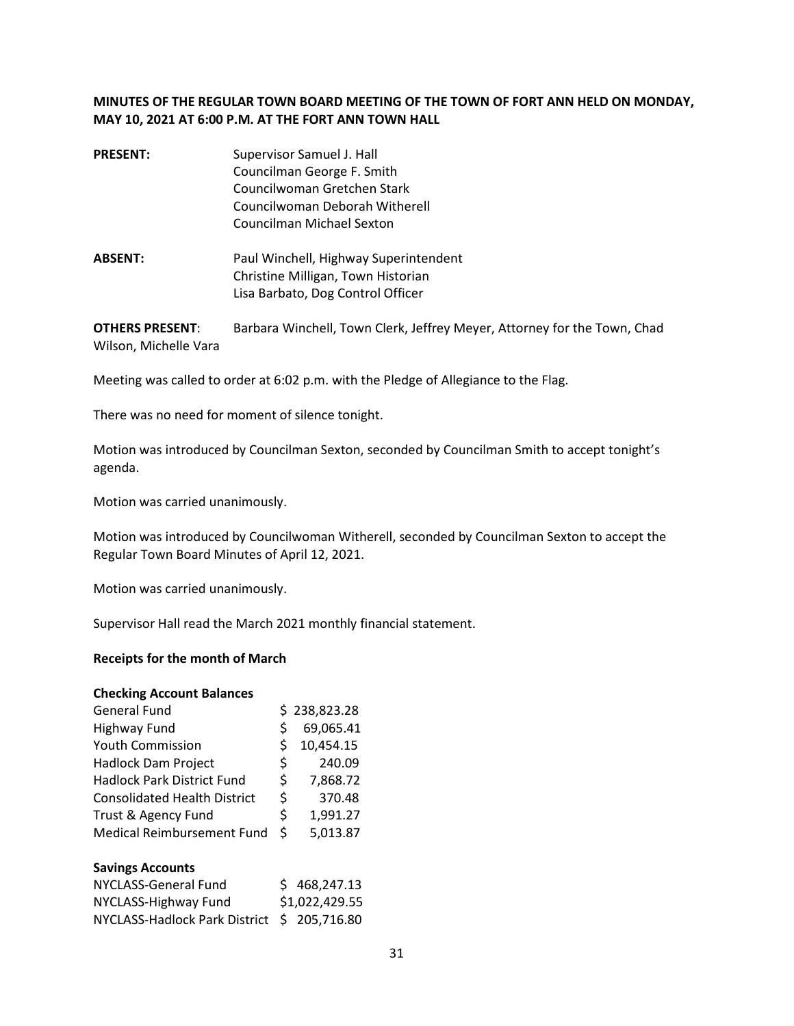# **MINUTES OF THE REGULAR TOWN BOARD MEETING OF THE TOWN OF FORT ANN HELD ON MONDAY, MAY 10, 2021 AT 6:00 P.M. AT THE FORT ANN TOWN HALL**

- **PRESENT:** Supervisor Samuel J. Hall Councilman George F. Smith Councilwoman Gretchen Stark Councilwoman Deborah Witherell Councilman Michael Sexton
- **ABSENT:** Paul Winchell, Highway Superintendent Christine Milligan, Town Historian Lisa Barbato, Dog Control Officer

**OTHERS PRESENT**: Barbara Winchell, Town Clerk, Jeffrey Meyer, Attorney for the Town, Chad Wilson, Michelle Vara

Meeting was called to order at 6:02 p.m. with the Pledge of Allegiance to the Flag.

There was no need for moment of silence tonight.

Motion was introduced by Councilman Sexton, seconded by Councilman Smith to accept tonight's agenda.

Motion was carried unanimously.

Motion was introduced by Councilwoman Witherell, seconded by Councilman Sexton to accept the Regular Town Board Minutes of April 12, 2021.

Motion was carried unanimously.

Supervisor Hall read the March 2021 monthly financial statement.

#### **Receipts for the month of March**

| <b>Checking Account Balances</b>    |    |              |
|-------------------------------------|----|--------------|
| <b>General Fund</b>                 |    | \$238,823.28 |
| Highway Fund                        | Ś  | 69,065.41    |
| <b>Youth Commission</b>             | S  | 10,454.15    |
| <b>Hadlock Dam Project</b>          | Ś  | 240.09       |
| <b>Hadlock Park District Fund</b>   | \$ | 7,868.72     |
| <b>Consolidated Health District</b> | \$ | 370.48       |
| Trust & Agency Fund                 | \$ | 1,991.27     |
| <b>Medical Reimbursement Fund</b>   | Ś. | 5,013.87     |
|                                     |    |              |

#### **Savings Accounts**

| NYCLASS-General Fund                        | \$468,247.13   |
|---------------------------------------------|----------------|
| NYCLASS-Highway Fund                        | \$1,022,429.55 |
| NYCLASS-Hadlock Park District \$ 205,716.80 |                |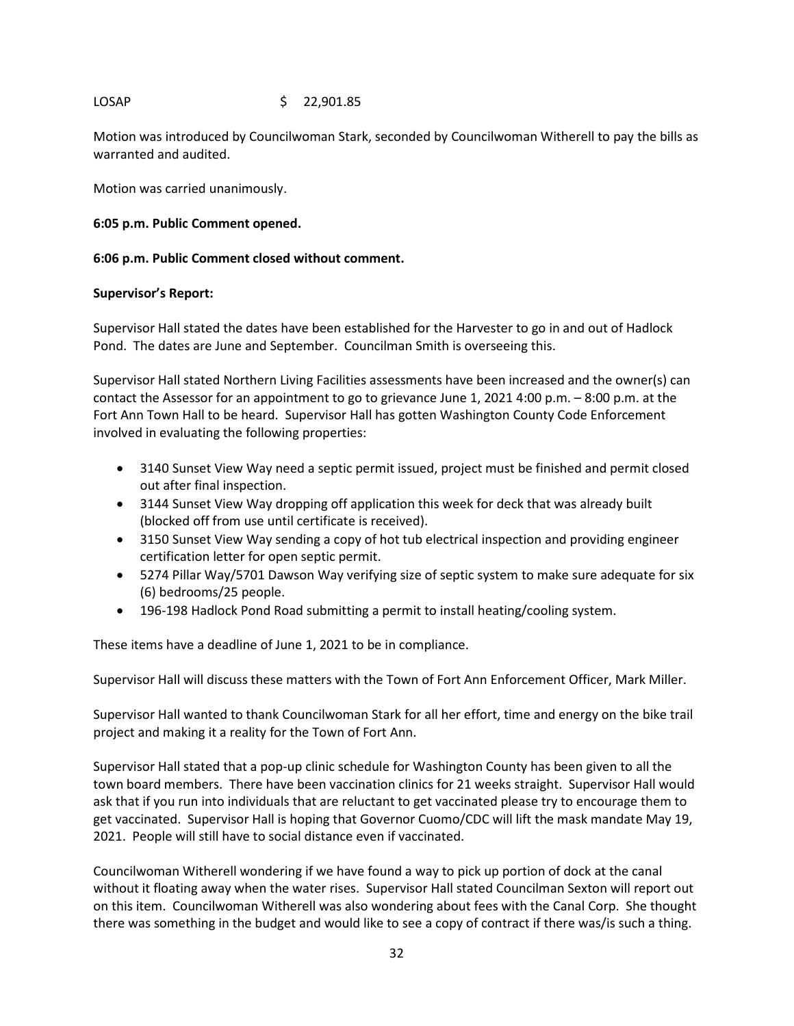# LOSAP \$ 22,901.85

Motion was introduced by Councilwoman Stark, seconded by Councilwoman Witherell to pay the bills as warranted and audited.

Motion was carried unanimously.

# **6:05 p.m. Public Comment opened.**

## **6:06 p.m. Public Comment closed without comment.**

### **Supervisor's Report:**

Supervisor Hall stated the dates have been established for the Harvester to go in and out of Hadlock Pond. The dates are June and September. Councilman Smith is overseeing this.

Supervisor Hall stated Northern Living Facilities assessments have been increased and the owner(s) can contact the Assessor for an appointment to go to grievance June 1, 2021 4:00 p.m. – 8:00 p.m. at the Fort Ann Town Hall to be heard. Supervisor Hall has gotten Washington County Code Enforcement involved in evaluating the following properties:

- 3140 Sunset View Way need a septic permit issued, project must be finished and permit closed out after final inspection.
- 3144 Sunset View Way dropping off application this week for deck that was already built (blocked off from use until certificate is received).
- 3150 Sunset View Way sending a copy of hot tub electrical inspection and providing engineer certification letter for open septic permit.
- 5274 Pillar Way/5701 Dawson Way verifying size of septic system to make sure adequate for six (6) bedrooms/25 people.
- 196-198 Hadlock Pond Road submitting a permit to install heating/cooling system.

These items have a deadline of June 1, 2021 to be in compliance.

Supervisor Hall will discuss these matters with the Town of Fort Ann Enforcement Officer, Mark Miller.

Supervisor Hall wanted to thank Councilwoman Stark for all her effort, time and energy on the bike trail project and making it a reality for the Town of Fort Ann.

Supervisor Hall stated that a pop-up clinic schedule for Washington County has been given to all the town board members. There have been vaccination clinics for 21 weeks straight. Supervisor Hall would ask that if you run into individuals that are reluctant to get vaccinated please try to encourage them to get vaccinated. Supervisor Hall is hoping that Governor Cuomo/CDC will lift the mask mandate May 19, 2021. People will still have to social distance even if vaccinated.

Councilwoman Witherell wondering if we have found a way to pick up portion of dock at the canal without it floating away when the water rises. Supervisor Hall stated Councilman Sexton will report out on this item. Councilwoman Witherell was also wondering about fees with the Canal Corp. She thought there was something in the budget and would like to see a copy of contract if there was/is such a thing.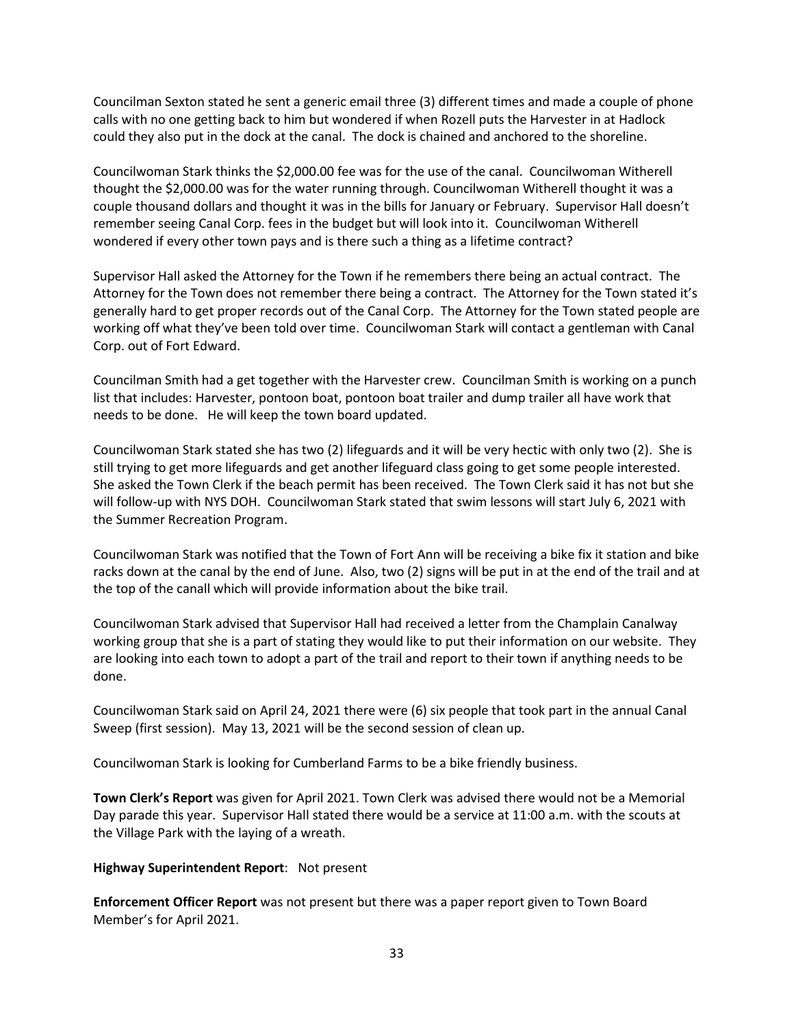Councilman Sexton stated he sent a generic email three (3) different times and made a couple of phone calls with no one getting back to him but wondered if when Rozell puts the Harvester in at Hadlock could they also put in the dock at the canal. The dock is chained and anchored to the shoreline.

Councilwoman Stark thinks the \$2,000.00 fee was for the use of the canal. Councilwoman Witherell thought the \$2,000.00 was for the water running through. Councilwoman Witherell thought it was a couple thousand dollars and thought it was in the bills for January or February. Supervisor Hall doesn't remember seeing Canal Corp. fees in the budget but will look into it. Councilwoman Witherell wondered if every other town pays and is there such a thing as a lifetime contract?

Supervisor Hall asked the Attorney for the Town if he remembers there being an actual contract. The Attorney for the Town does not remember there being a contract. The Attorney for the Town stated it's generally hard to get proper records out of the Canal Corp. The Attorney for the Town stated people are working off what they've been told over time. Councilwoman Stark will contact a gentleman with Canal Corp. out of Fort Edward.

Councilman Smith had a get together with the Harvester crew. Councilman Smith is working on a punch list that includes: Harvester, pontoon boat, pontoon boat trailer and dump trailer all have work that needs to be done. He will keep the town board updated.

Councilwoman Stark stated she has two (2) lifeguards and it will be very hectic with only two (2). She is still trying to get more lifeguards and get another lifeguard class going to get some people interested. She asked the Town Clerk if the beach permit has been received. The Town Clerk said it has not but she will follow-up with NYS DOH. Councilwoman Stark stated that swim lessons will start July 6, 2021 with the Summer Recreation Program.

Councilwoman Stark was notified that the Town of Fort Ann will be receiving a bike fix it station and bike racks down at the canal by the end of June. Also, two (2) signs will be put in at the end of the trail and at the top of the canall which will provide information about the bike trail.

Councilwoman Stark advised that Supervisor Hall had received a letter from the Champlain Canalway working group that she is a part of stating they would like to put their information on our website. They are looking into each town to adopt a part of the trail and report to their town if anything needs to be done.

Councilwoman Stark said on April 24, 2021 there were (6) six people that took part in the annual Canal Sweep (first session). May 13, 2021 will be the second session of clean up.

Councilwoman Stark is looking for Cumberland Farms to be a bike friendly business.

**Town Clerk's Report** was given for April 2021. Town Clerk was advised there would not be a Memorial Day parade this year. Supervisor Hall stated there would be a service at 11:00 a.m. with the scouts at the Village Park with the laying of a wreath.

#### **Highway Superintendent Report**: Not present

**Enforcement Officer Report** was not present but there was a paper report given to Town Board Member's for April 2021.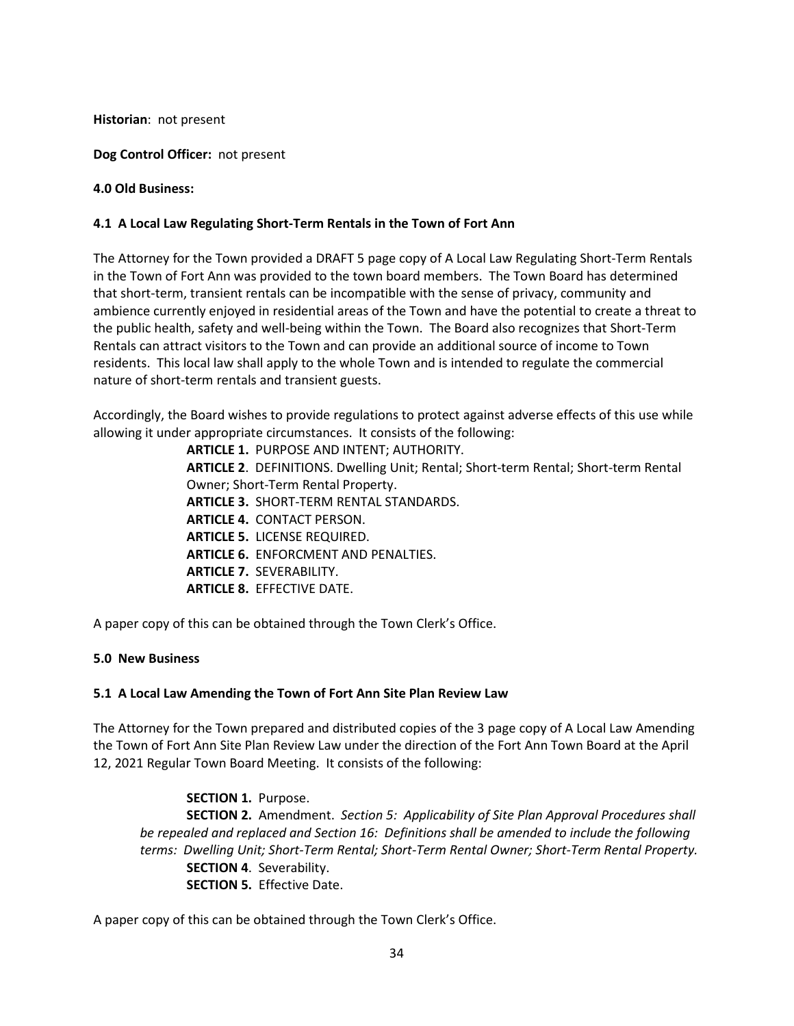**Historian**: not present

**Dog Control Officer:** not present

**4.0 Old Business:** 

## **4.1 A Local Law Regulating Short-Term Rentals in the Town of Fort Ann**

The Attorney for the Town provided a DRAFT 5 page copy of A Local Law Regulating Short-Term Rentals in the Town of Fort Ann was provided to the town board members. The Town Board has determined that short-term, transient rentals can be incompatible with the sense of privacy, community and ambience currently enjoyed in residential areas of the Town and have the potential to create a threat to the public health, safety and well-being within the Town. The Board also recognizes that Short-Term Rentals can attract visitors to the Town and can provide an additional source of income to Town residents. This local law shall apply to the whole Town and is intended to regulate the commercial nature of short-term rentals and transient guests.

Accordingly, the Board wishes to provide regulations to protect against adverse effects of this use while allowing it under appropriate circumstances. It consists of the following:

> **ARTICLE 1.** PURPOSE AND INTENT; AUTHORITY. **ARTICLE 2**. DEFINITIONS. Dwelling Unit; Rental; Short-term Rental; Short-term Rental Owner; Short-Term Rental Property.  **ARTICLE 3.** SHORT-TERM RENTAL STANDARDS. **ARTICLE 4.** CONTACT PERSON. **ARTICLE 5.** LICENSE REQUIRED. **ARTICLE 6.** ENFORCMENT AND PENALTIES. **ARTICLE 7.** SEVERABILITY. **ARTICLE 8.** EFFECTIVE DATE.

A paper copy of this can be obtained through the Town Clerk's Office.

## **5.0 New Business**

## **5.1 A Local Law Amending the Town of Fort Ann Site Plan Review Law**

The Attorney for the Town prepared and distributed copies of the 3 page copy of A Local Law Amending the Town of Fort Ann Site Plan Review Law under the direction of the Fort Ann Town Board at the April 12, 2021 Regular Town Board Meeting. It consists of the following:

 **SECTION 1.** Purpose. **SECTION 2.** Amendment. *Section 5: Applicability of Site Plan Approval Procedures shall be repealed and replaced and Section 16: Definitions shall be amended to include the following terms: Dwelling Unit; Short-Term Rental; Short-Term Rental Owner; Short-Term Rental Property.* **SECTION 4**. Severability. **SECTION 5.** Effective Date.

A paper copy of this can be obtained through the Town Clerk's Office.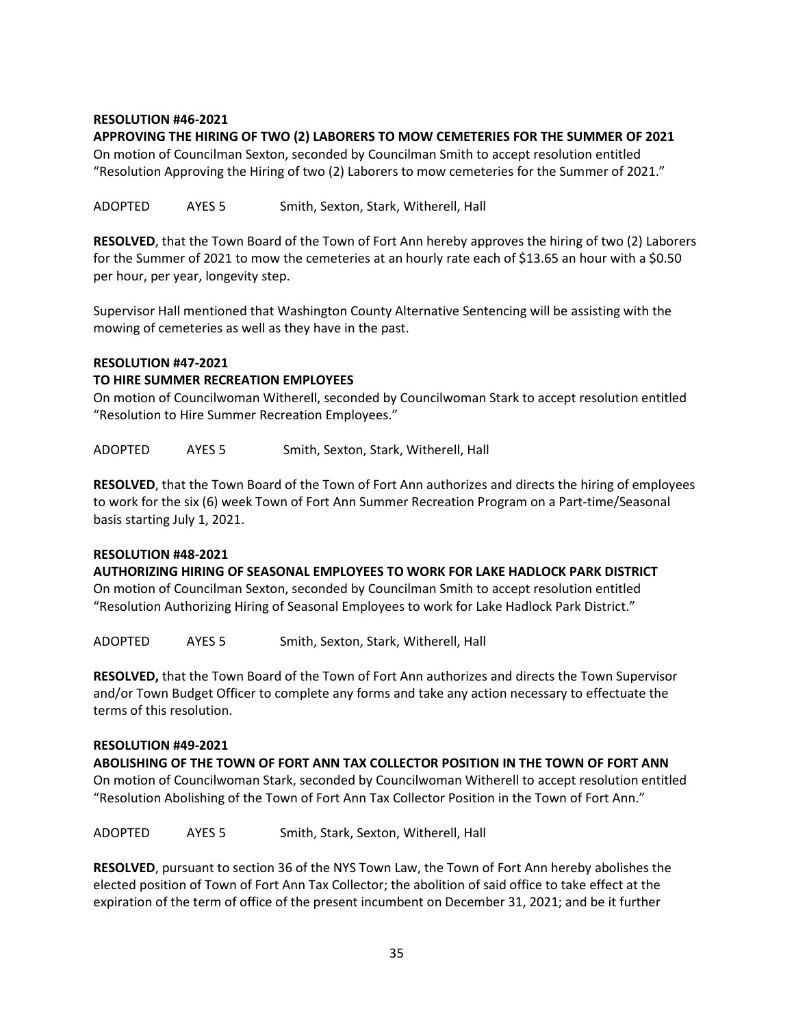## **RESOLUTION #46-2021**

### **APPROVING THE HIRING OF TWO (2) LABORERS TO MOW CEMETERIES FOR THE SUMMER OF 2021**

On motion of Councilman Sexton, seconded by Councilman Smith to accept resolution entitled "Resolution Approving the Hiring of two (2) Laborers to mow cemeteries for the Summer of 2021."

ADOPTED AYES 5 Smith, Sexton, Stark, Witherell, Hall

**RESOLVED**, that the Town Board of the Town of Fort Ann hereby approves the hiring of two (2) Laborers for the Summer of 2021 to mow the cemeteries at an hourly rate each of \$13.65 an hour with a \$0.50 per hour, per year, longevity step.

Supervisor Hall mentioned that Washington County Alternative Sentencing will be assisting with the mowing of cemeteries as well as they have in the past.

### **RESOLUTION #47-2021**

### **TO HIRE SUMMER RECREATION EMPLOYEES**

On motion of Councilwoman Witherell, seconded by Councilwoman Stark to accept resolution entitled "Resolution to Hire Summer Recreation Employees."

ADOPTED AYES 5 Smith, Sexton, Stark, Witherell, Hall

**RESOLVED**, that the Town Board of the Town of Fort Ann authorizes and directs the hiring of employees to work for the six (6) week Town of Fort Ann Summer Recreation Program on a Part-time/Seasonal basis starting July 1, 2021.

#### **RESOLUTION #48-2021**

**AUTHORIZING HIRING OF SEASONAL EMPLOYEES TO WORK FOR LAKE HADLOCK PARK DISTRICT**  On motion of Councilman Sexton, seconded by Councilman Smith to accept resolution entitled "Resolution Authorizing Hiring of Seasonal Employees to work for Lake Hadlock Park District."

ADOPTED AYES 5 Smith, Sexton, Stark, Witherell, Hall

**RESOLVED,** that the Town Board of the Town of Fort Ann authorizes and directs the Town Supervisor and/or Town Budget Officer to complete any forms and take any action necessary to effectuate the terms of this resolution.

#### **RESOLUTION #49-2021**

**ABOLISHING OF THE TOWN OF FORT ANN TAX COLLECTOR POSITION IN THE TOWN OF FORT ANN**  On motion of Councilwoman Stark, seconded by Councilwoman Witherell to accept resolution entitled "Resolution Abolishing of the Town of Fort Ann Tax Collector Position in the Town of Fort Ann."

ADOPTED AYES 5 Smith, Stark, Sexton, Witherell, Hall

**RESOLVED**, pursuant to section 36 of the NYS Town Law, the Town of Fort Ann hereby abolishes the elected position of Town of Fort Ann Tax Collector; the abolition of said office to take effect at the expiration of the term of office of the present incumbent on December 31, 2021; and be it further